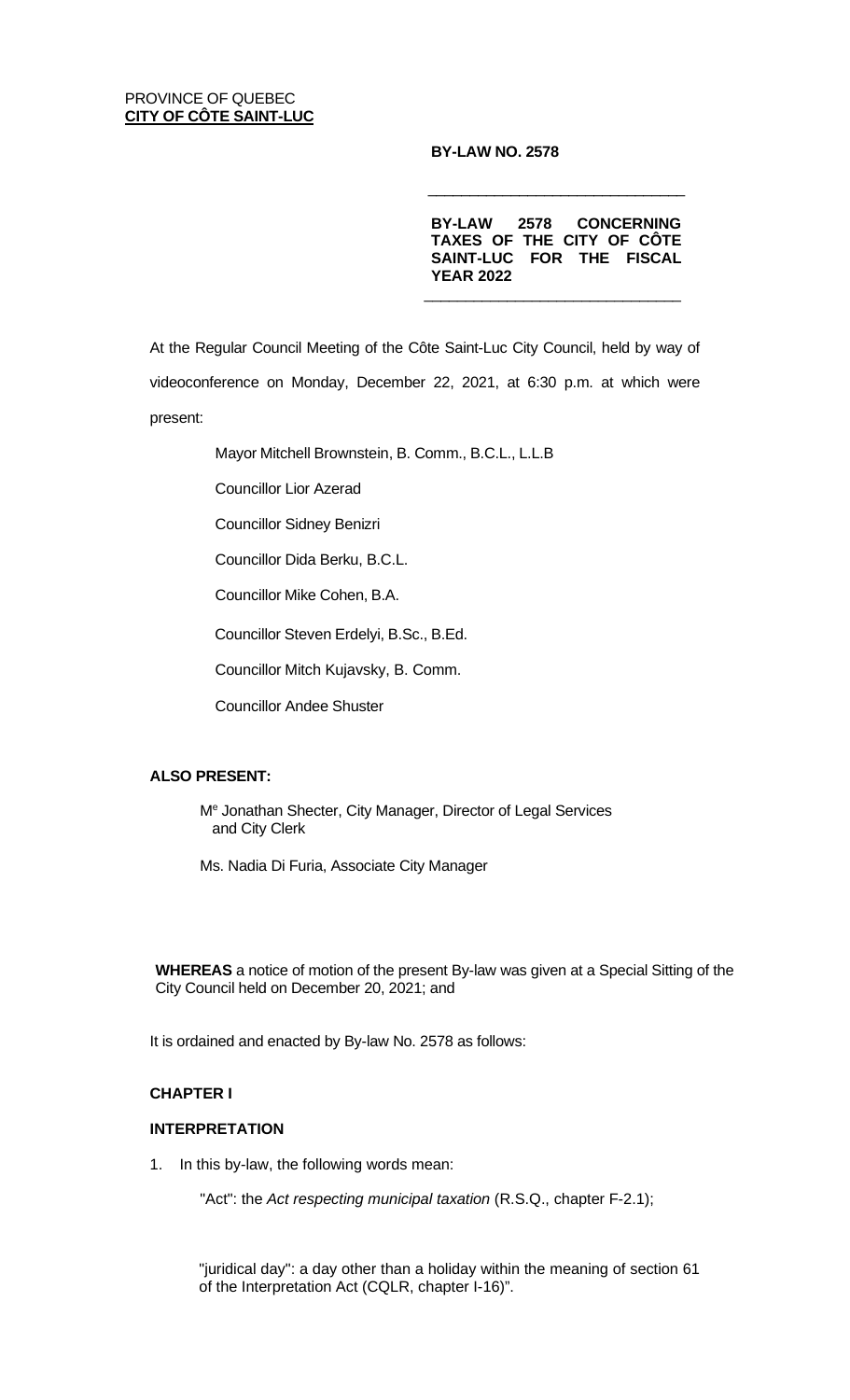## PROVINCE OF QUEBEC **CITY OF CÔTE SAINT-LUC**

# **BY-LAW NO. 2578**

**BY-LAW 2578 CONCERNING TAXES OF THE CITY OF CÔTE SAINT-LUC FOR THE FISCAL YEAR 2022**  $\frac{1}{\sqrt{2}}$  ,  $\frac{1}{\sqrt{2}}$  ,  $\frac{1}{\sqrt{2}}$  ,  $\frac{1}{\sqrt{2}}$  ,  $\frac{1}{\sqrt{2}}$  ,  $\frac{1}{\sqrt{2}}$  ,  $\frac{1}{\sqrt{2}}$  ,  $\frac{1}{\sqrt{2}}$  ,  $\frac{1}{\sqrt{2}}$  ,  $\frac{1}{\sqrt{2}}$  ,  $\frac{1}{\sqrt{2}}$  ,  $\frac{1}{\sqrt{2}}$  ,  $\frac{1}{\sqrt{2}}$  ,  $\frac{1}{\sqrt{2}}$  ,  $\frac{1}{\sqrt{2}}$ 

 $\frac{1}{\sqrt{2}}$  ,  $\frac{1}{\sqrt{2}}$  ,  $\frac{1}{\sqrt{2}}$  ,  $\frac{1}{\sqrt{2}}$  ,  $\frac{1}{\sqrt{2}}$  ,  $\frac{1}{\sqrt{2}}$  ,  $\frac{1}{\sqrt{2}}$  ,  $\frac{1}{\sqrt{2}}$  ,  $\frac{1}{\sqrt{2}}$  ,  $\frac{1}{\sqrt{2}}$  ,  $\frac{1}{\sqrt{2}}$  ,  $\frac{1}{\sqrt{2}}$  ,  $\frac{1}{\sqrt{2}}$  ,  $\frac{1}{\sqrt{2}}$  ,  $\frac{1}{\sqrt{2}}$ 

At the Regular Council Meeting of the Côte Saint-Luc City Council, held by way of videoconference on Monday, December 22, 2021, at 6:30 p.m. at which were present:

Mayor Mitchell Brownstein, B. Comm., B.C.L., L.L.B

Councillor Lior Azerad

Councillor Sidney Benizri

Councillor Dida Berku, B.C.L.

Councillor Mike Cohen, B.A.

Councillor Steven Erdelyi, B.Sc., B.Ed.

Councillor Mitch Kujavsky, B. Comm.

Councillor Andee Shuster

# **ALSO PRESENT:**

Me Jonathan Shecter, City Manager, Director of Legal Services and City Clerk

Ms. Nadia Di Furia, Associate City Manager

**WHEREAS** a notice of motion of the present By-law was given at a Special Sitting of the City Council held on December 20, 2021; and

It is ordained and enacted by By-law No. 2578 as follows:

# **CHAPTER I**

# **INTERPRETATION**

1. In this by-law, the following words mean:

"Act": the *Act respecting municipal taxation* (R.S.Q., chapter F-2.1);

"juridical day": a day other than a holiday within the meaning of section 61 of the Interpretation Act (CQLR, chapter I-16)".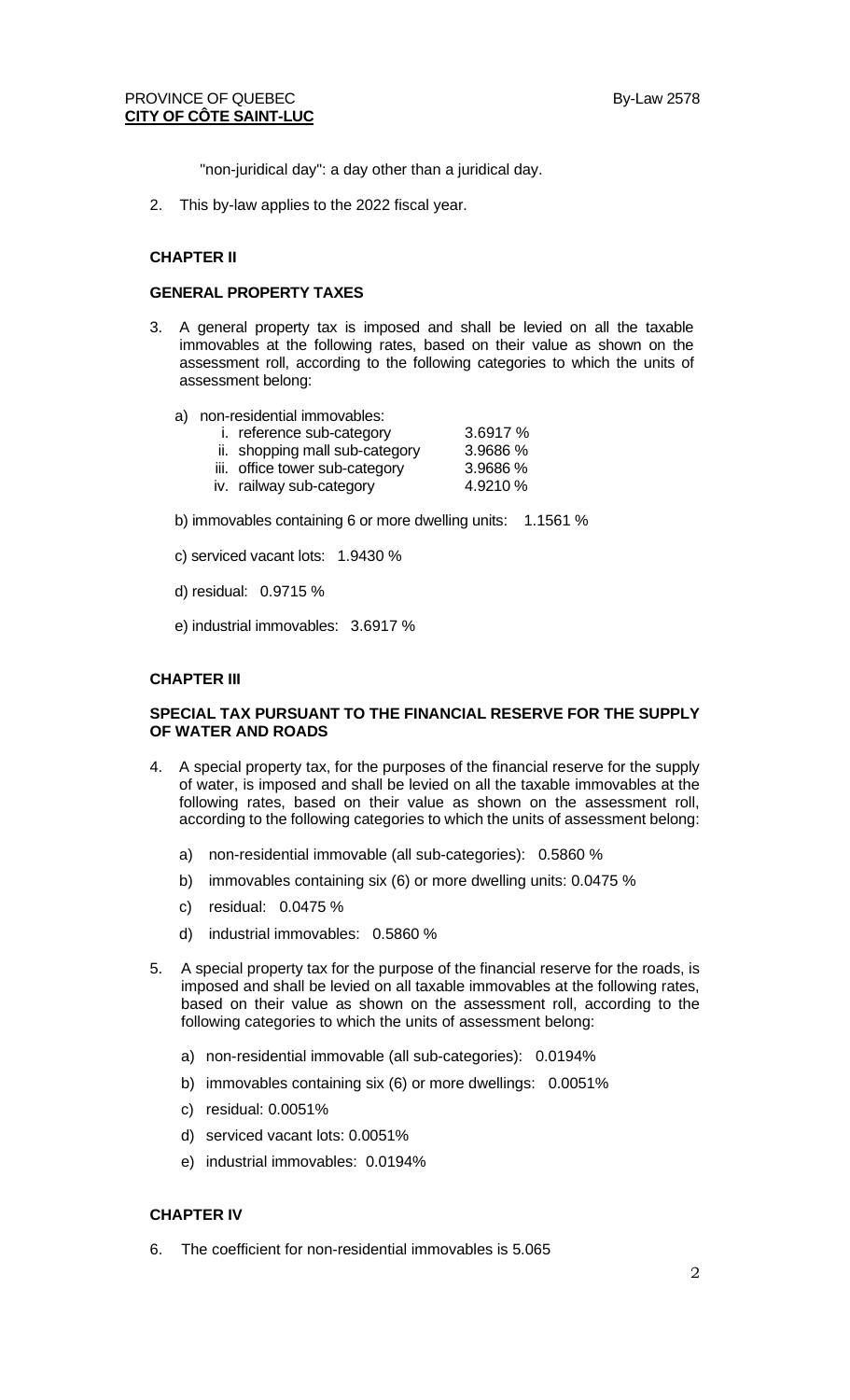# PROVINCE OF QUEBEC By-Law 2578 **CITY OF CÔTE SAINT-LUC**

"non-juridical day": a day other than a juridical day.

2. This by-law applies to the 2022 fiscal year.

#### **CHAPTER II**

#### **GENERAL PROPERTY TAXES**

- 3. A general property tax is imposed and shall be levied on all the taxable immovables at the following rates, based on their value as shown on the assessment roll, according to the following categories to which the units of assessment belong:
	- a) non-residential immovables:
		- i. reference sub-category 3.6917 %
			-
		- ii. shopping mall sub-category 3.9686 %<br>iii. office tower sub-category 3.9686 % iii. office tower sub-category 3.9686 %<br>iv. railway sub-category 4.9210 %
		- iv. railway sub-category
- 
- b) immovables containing 6 or more dwelling units: 1.1561 %
- c) serviced vacant lots: 1.9430 %
- d) residual: 0.9715 %
- e) industrial immovables: 3.6917 %

#### **CHAPTER III**

#### **SPECIAL TAX PURSUANT TO THE FINANCIAL RESERVE FOR THE SUPPLY OF WATER AND ROADS**

- 4. A special property tax, for the purposes of the financial reserve for the supply of water, is imposed and shall be levied on all the taxable immovables at the following rates, based on their value as shown on the assessment roll, according to the following categories to which the units of assessment belong:
	- a) non-residential immovable (all sub-categories): 0.5860 %
	- b) immovables containing six (6) or more dwelling units: 0.0475 %
	- c) residual: 0.0475 %
	- d) industrial immovables: 0.5860 %
- 5. A special property tax for the purpose of the financial reserve for the roads, is imposed and shall be levied on all taxable immovables at the following rates, based on their value as shown on the assessment roll, according to the following categories to which the units of assessment belong:
	- a) non-residential immovable (all sub-categories): 0.0194%
	- b) immovables containing six (6) or more dwellings: 0.0051%
	- c) residual: 0.0051%
	- d) serviced vacant lots: 0.0051%
	- e) industrial immovables: 0.0194%

### **CHAPTER IV**

6. The coefficient for non-residential immovables is 5.065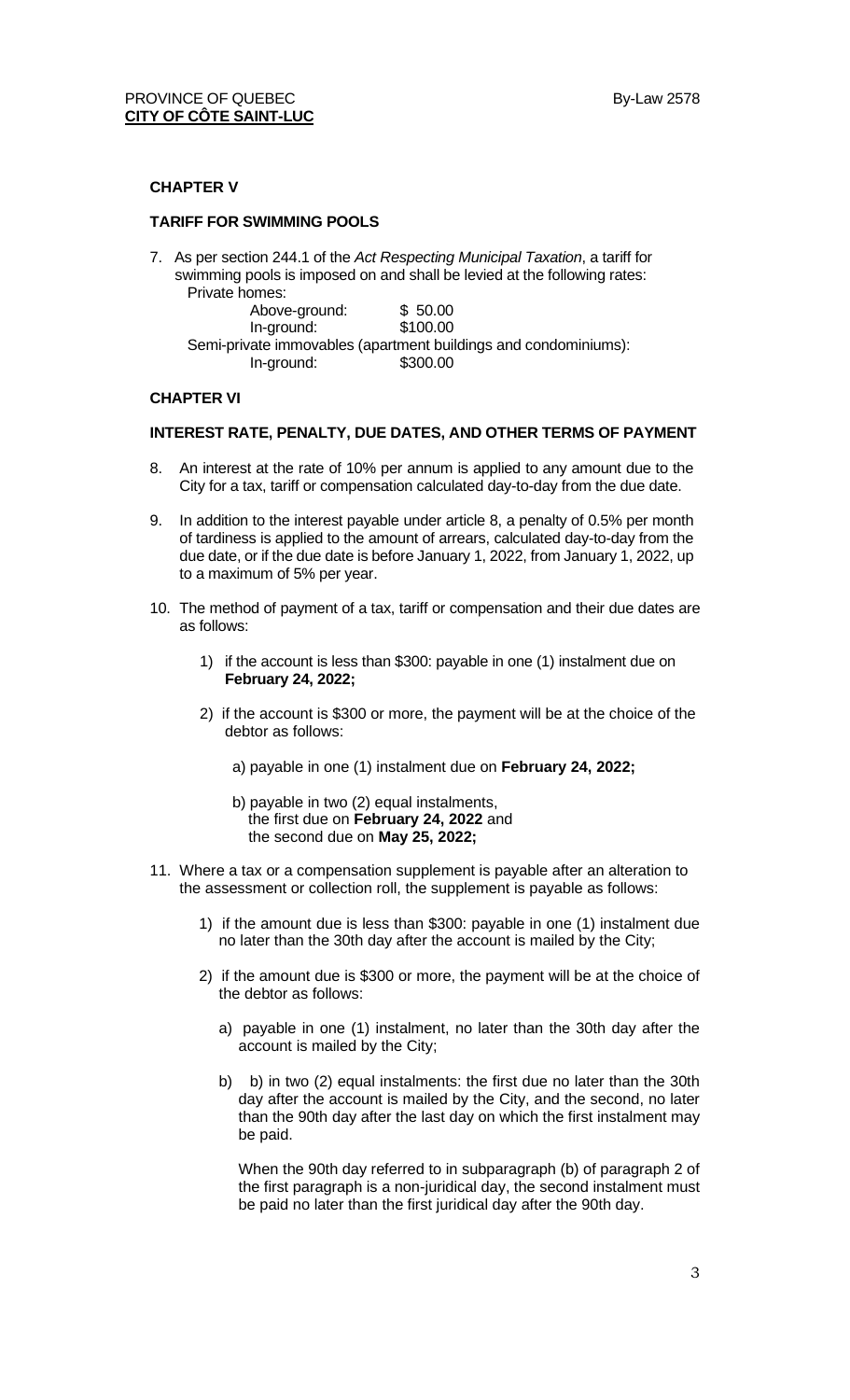#### **CHAPTER V**

#### **TARIFF FOR SWIMMING POOLS**

7. As per section 244.1 of the *Act Respecting Municipal Taxation*, a tariff for swimming pools is imposed on and shall be levied at the following rates: Private homes:

| Above-ground: | \$50.00                                                         |  |
|---------------|-----------------------------------------------------------------|--|
| In-ground:    | \$100.00                                                        |  |
|               | Semi-private immovables (apartment buildings and condominiums): |  |
| In-ground:    | \$300.00                                                        |  |

#### **CHAPTER VI**

#### **INTEREST RATE, PENALTY, DUE DATES, AND OTHER TERMS OF PAYMENT**

- 8. An interest at the rate of 10% per annum is applied to any amount due to the City for a tax, tariff or compensation calculated day-to-day from the due date.
- 9. In addition to the interest payable under article 8, a penalty of 0.5% per month of tardiness is applied to the amount of arrears, calculated day-to-day from the due date, or if the due date is before January 1, 2022, from January 1, 2022, up to a maximum of 5% per year.
- 10. The method of payment of a tax, tariff or compensation and their due dates are as follows:
	- 1) if the account is less than \$300: payable in one (1) instalment due on **February 24, 2022;**
	- 2) if the account is \$300 or more, the payment will be at the choice of the debtor as follows:
		- a) payable in one (1) instalment due on **February 24, 2022;**
		- b) payable in two (2) equal instalments, the first due on **February 24, 2022** and the second due on **May 25, 2022;**
- 11. Where a tax or a compensation supplement is payable after an alteration to the assessment or collection roll, the supplement is payable as follows:
	- 1) if the amount due is less than \$300: payable in one (1) instalment due no later than the 30th day after the account is mailed by the City;
	- 2) if the amount due is \$300 or more, the payment will be at the choice of the debtor as follows:
		- a) payable in one (1) instalment, no later than the 30th day after the account is mailed by the City;
		- b) b) in two (2) equal instalments: the first due no later than the 30th day after the account is mailed by the City, and the second, no later than the 90th day after the last day on which the first instalment may be paid.

When the 90th day referred to in subparagraph (b) of paragraph 2 of the first paragraph is a non-juridical day, the second instalment must be paid no later than the first juridical day after the 90th day.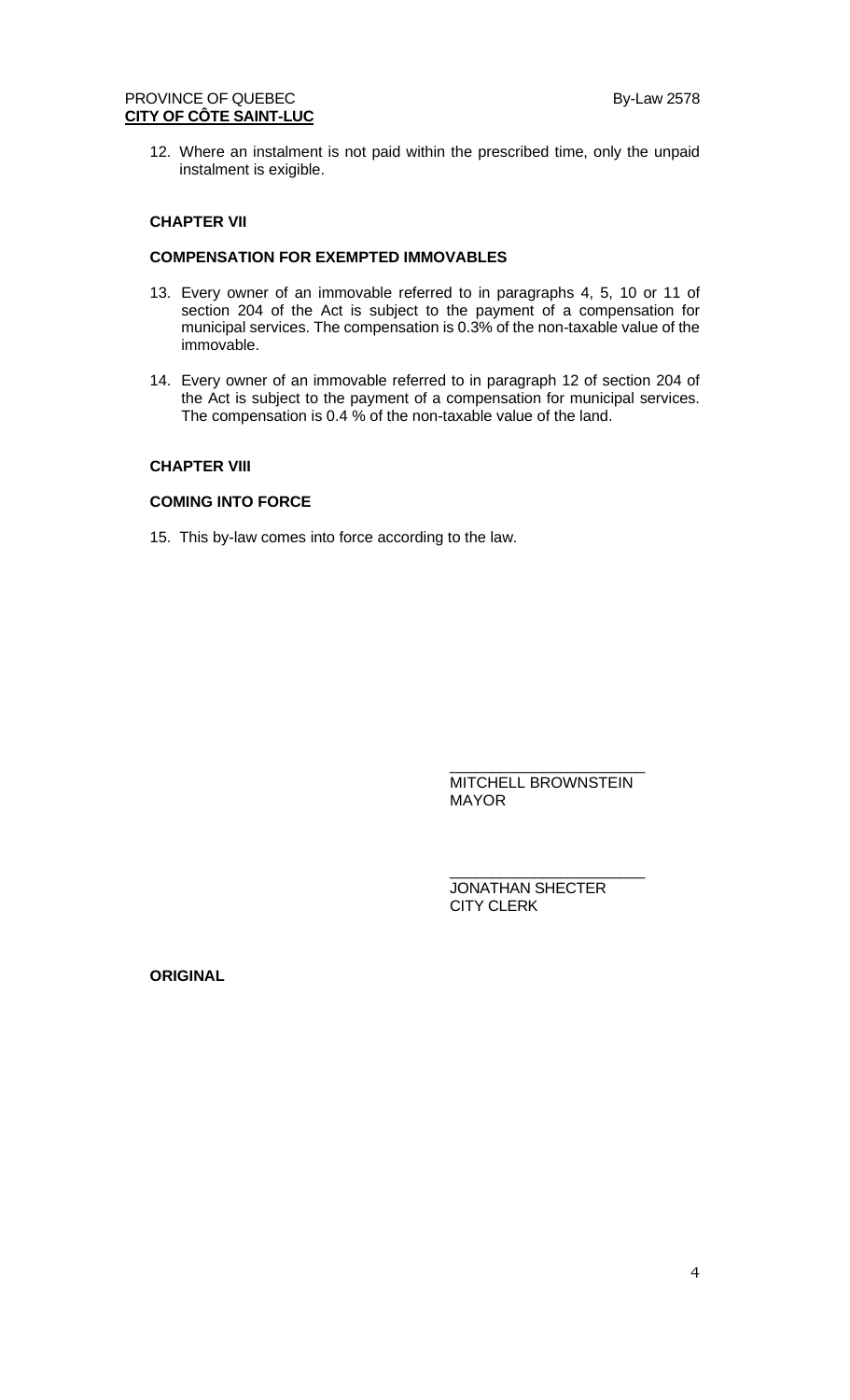# PROVINCE OF QUEBEC By-Law 2578 **CITY OF CÔTE SAINT-LUC**

12. Where an instalment is not paid within the prescribed time, only the unpaid instalment is exigible.

# **CHAPTER VII**

# **COMPENSATION FOR EXEMPTED IMMOVABLES**

- 13. Every owner of an immovable referred to in paragraphs 4, 5, 10 or 11 of section 204 of the Act is subject to the payment of a compensation for municipal services. The compensation is 0.3% of the non-taxable value of the immovable.
- 14. Every owner of an immovable referred to in paragraph 12 of section 204 of the Act is subject to the payment of a compensation for municipal services. The compensation is 0.4 % of the non-taxable value of the land.

## **CHAPTER VIII**

# **COMING INTO FORCE**

15. This by-law comes into force according to the law.

\_\_\_\_\_\_\_\_\_\_\_\_\_\_\_\_\_\_\_\_\_\_\_ MITCHELL BROWNSTEIN MAYOR

\_\_\_\_\_\_\_\_\_\_\_\_\_\_\_\_\_\_\_\_\_\_\_

JONATHAN SHECTER CITY CLERK

**ORIGINAL**